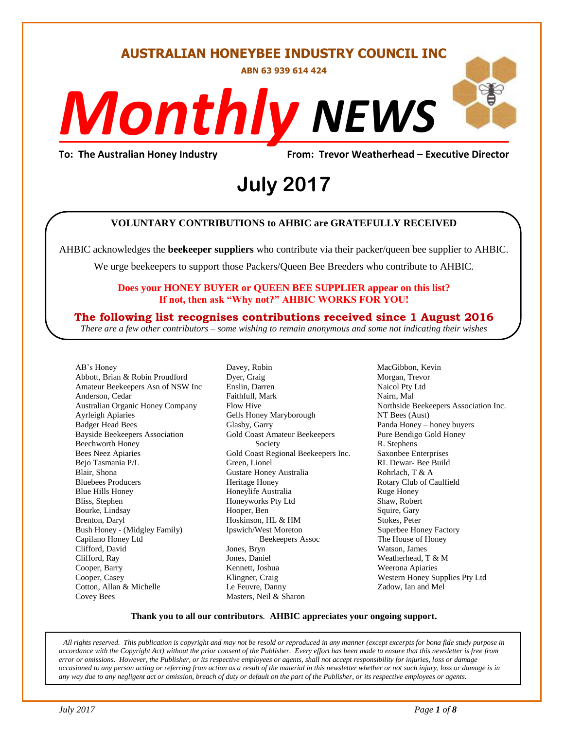#### **AUSTRALIAN HONEYBEE INDUSTRY COUNCIL INC**

**ABN 63 939 614 424**

# *NEWS Monthly*

**To: The Australian Honey Industry From: Trevor Weatherhead – Executive Director**

## *DS* **July 2017**

#### **VOLUNTARY CONTRIBUTIONS to AHBIC are GRATEFULLY RECEIVED**

AHBIC acknowledges the **beekeeper suppliers** who contribute via their packer/queen bee supplier to AHBIC.

We urge beekeepers to support those Packers/Queen Bee Breeders who contribute to AHBIC.

#### **Does your HONEY BUYER or QUEEN BEE SUPPLIER appear on this list? If not, then ask "Why not?" AHBIC WORKS FOR YOU!**

#### **The following list recognises contributions received since 1 August 2016**

*There are a few other contributors – some wishing to remain anonymous and some not indicating their wishes*

AB's Honey Abbott, Brian & Robin Proudford Amateur Beekeepers Asn of NSW Inc Anderson, Cedar Australian Organic Honey Company Ayrleigh Apiaries Badger Head Bees Bayside Beekeepers Association Beechworth Honey Bees Neez Apiaries Bejo Tasmania P/L Blair, Shona Bluebees Producers Blue Hills Honey Bliss, Stephen Bourke, Lindsay Brenton, Daryl Bush Honey - (Midgley Family) Capilano Honey Ltd Clifford, David Clifford, Ray Cooper, Barry Cooper, Casey Cotton, Allan & Michelle Covey Bees

Davey, Robin Dyer, Craig Enslin, Darren Faithfull, Mark Flow Hive Gells Honey Maryborough Glasby, Garry Gold Coast Amateur Beekeepers Society Gold Coast Regional Beekeepers Inc. Green, Lionel Gustare Honey Australia Heritage Honey Honeylife Australia Honeyworks Pty Ltd Hooper, Ben Hoskinson, HL & HM Ipswich/West Moreton Beekeepers Assoc Jones, Bryn Jones, Daniel Kennett, Joshua Klingner, Craig Le Feuvre, Danny Masters, Neil & Sharon

MacGibbon, Kevin Morgan, Trevor Naicol Pty Ltd Nairn, Mal Northside Beekeepers Association Inc. NT Bees (Aust) Panda Honey – honey buyers Pure Bendigo Gold Honey R. Stephens Saxonbee Enterprises RL Dewar- Bee Build Rohrlach, T & A Rotary Club of Caulfield Ruge Honey Shaw, Robert Squire, Gary Stokes, Peter Superbee Honey Factory The House of Honey Watson, James Weatherhead, T & M Weerona Apiaries Western Honey Supplies Pty Ltd Zadow, Ian and Mel

#### **Thank you to all our contributors***.* **AHBIC appreciates your ongoing support.**

*All rights reserved. This publication is copyright and may not be resold or reproduced in any manner (except excerpts for bona fide study purpose in accordance with the Copyright Act) without the prior consent of the Publisher. Every effort has been made to ensure that this newsletter is free from error or omissions. However, the Publisher, or its respective employees or agents, shall not accept responsibility for injuries, loss or damage occasioned to any person acting or referring from action as a result of the material in this newsletter whether or not such injury, loss or damage is in any way due to any negligent act or omission, breach of duty or default on the part of the Publisher, or its respective employees or agents.*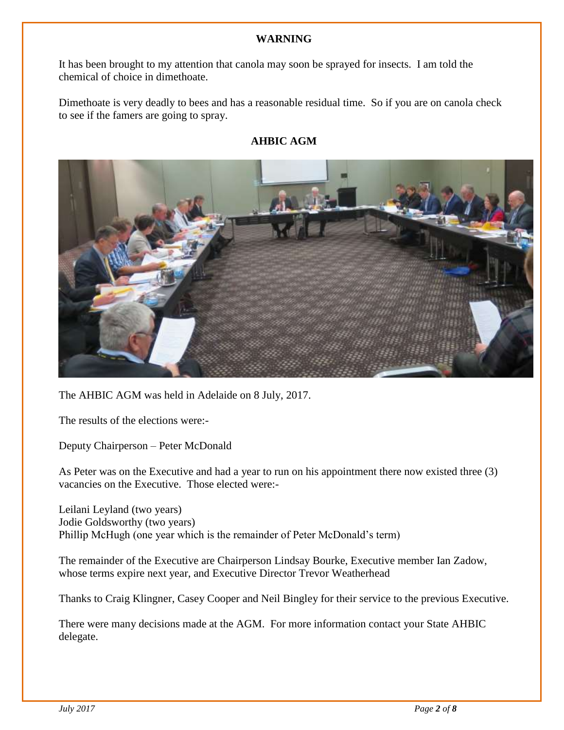#### **WARNING**

It has been brought to my attention that canola may soon be sprayed for insects. I am told the chemical of choice in dimethoate.

Dimethoate is very deadly to bees and has a reasonable residual time. So if you are on canola check to see if the famers are going to spray.

#### **AHBIC AGM**



The AHBIC AGM was held in Adelaide on 8 July, 2017.

The results of the elections were:-

Deputy Chairperson – Peter McDonald

As Peter was on the Executive and had a year to run on his appointment there now existed three (3) vacancies on the Executive. Those elected were:-

Leilani Leyland (two years) Jodie Goldsworthy (two years) Phillip McHugh (one year which is the remainder of Peter McDonald's term)

The remainder of the Executive are Chairperson Lindsay Bourke, Executive member Ian Zadow, whose terms expire next year, and Executive Director Trevor Weatherhead

Thanks to Craig Klingner, Casey Cooper and Neil Bingley for their service to the previous Executive.

There were many decisions made at the AGM. For more information contact your State AHBIC delegate.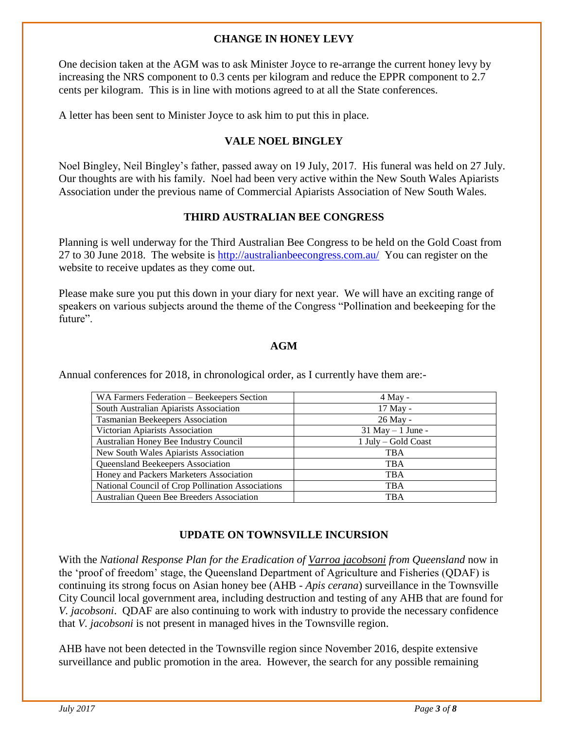#### **CHANGE IN HONEY LEVY**

One decision taken at the AGM was to ask Minister Joyce to re-arrange the current honey levy by increasing the NRS component to 0.3 cents per kilogram and reduce the EPPR component to 2.7 cents per kilogram. This is in line with motions agreed to at all the State conferences.

A letter has been sent to Minister Joyce to ask him to put this in place.

#### **VALE NOEL BINGLEY**

Noel Bingley, Neil Bingley's father, passed away on 19 July, 2017. His funeral was held on 27 July. Our thoughts are with his family. Noel had been very active within the New South Wales Apiarists Association under the previous name of Commercial Apiarists Association of New South Wales.

#### **THIRD AUSTRALIAN BEE CONGRESS**

Planning is well underway for the Third Australian Bee Congress to be held on the Gold Coast from 27 to 30 June 2018. The website is<http://australianbeecongress.com.au/>You can register on the website to receive updates as they come out.

Please make sure you put this down in your diary for next year. We will have an exciting range of speakers on various subjects around the theme of the Congress "Pollination and beekeeping for the future".

#### **AGM**

Annual conferences for 2018, in chronological order, as I currently have them are:-

| WA Farmers Federation – Beekeepers Section        | $4$ May -            |
|---------------------------------------------------|----------------------|
| South Australian Apiarists Association            | 17 May -             |
| Tasmanian Beekeepers Association                  | 26 May -             |
| Victorian Apiarists Association                   | $31$ May $-1$ June - |
| Australian Honey Bee Industry Council             | 1 July – Gold Coast  |
| New South Wales Apiarists Association             | <b>TBA</b>           |
| Queensland Beekeepers Association                 | <b>TBA</b>           |
| Honey and Packers Marketers Association           | <b>TBA</b>           |
| National Council of Crop Pollination Associations | <b>TBA</b>           |
| Australian Queen Bee Breeders Association         | <b>TBA</b>           |

#### **UPDATE ON TOWNSVILLE INCURSION**

With the *National Response Plan for the Eradication of Varroa jacobsoni from Queensland* now in the 'proof of freedom' stage, the Queensland Department of Agriculture and Fisheries (QDAF) is continuing its strong focus on Asian honey bee (AHB - *Apis cerana*) surveillance in the Townsville City Council local government area, including destruction and testing of any AHB that are found for *V. jacobsoni*. QDAF are also continuing to work with industry to provide the necessary confidence that *V. jacobsoni* is not present in managed hives in the Townsville region.

AHB have not been detected in the Townsville region since November 2016, despite extensive surveillance and public promotion in the area. However, the search for any possible remaining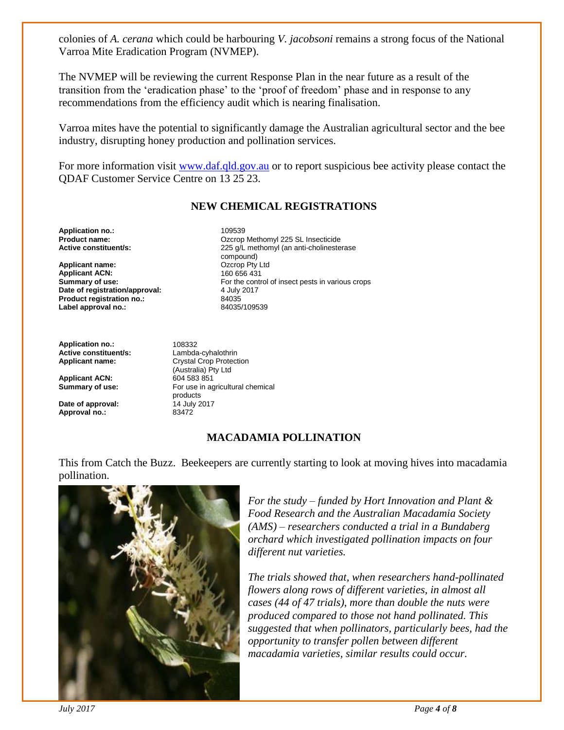colonies of *A. cerana* which could be harbouring *V. jacobsoni* remains a strong focus of the National Varroa Mite Eradication Program (NVMEP).

The NVMEP will be reviewing the current Response Plan in the near future as a result of the transition from the 'eradication phase' to the 'proof of freedom' phase and in response to any recommendations from the efficiency audit which is nearing finalisation.

Varroa mites have the potential to significantly damage the Australian agricultural sector and the bee industry, disrupting honey production and pollination services.

For more information visit [www.daf.qld.gov.au](http://www.daf.qld.gov.au/) or to report suspicious bee activity please contact the QDAF Customer Service Centre on 13 25 23.

#### **NEW CHEMICAL REGISTRATIONS**

**Application no.:** 109539<br>**Product name:** 2007 2008 2009

**Applicant name:**  $Qzcrop Pty L$ <br>**Applicant ACN:**  $160 656 431$ **Applicant ACN:**<br>Summary of use: **Date of registration/approval: Product registration no.:** 84035<br> **Label approval no.:** 84035/109539 Label approval no.:

**Application no.:** 108332<br> **Active constituent/s:** Lambda-cyhalothrin **Active constituent/s:**<br>**Applicant name:** 

**Applicant ACN:** 604 583 851<br> **Summary of use:** For use in a

**Date of approval:**  $14$  July 2017<br>**Approval no.:** 83472 Approval no.:

**Product name: Product name: Product name: Product name: Active constituent/s: Product name: Product 225 G/L** methomyl (an anti-cholineste 225 g/L methomyl (an anti-cholinesterase compound)<br>Ozcrop Pty Ltd For the control of insect pests in various crops 4 July 2017

> **Crystal Crop Protection** (Australia) Pty Ltd For use in agricultural chemical products

#### **MACADAMIA POLLINATION**

This from Catch the Buzz. Beekeepers are currently starting to look at moving hives into macadamia pollination.



*For the study – funded by Hort Innovation and Plant & Food Research and the Australian Macadamia Society (AMS) – researchers conducted a trial in a Bundaberg orchard which investigated pollination impacts on four different nut varieties.*

*The trials showed that, when researchers hand-pollinated flowers along rows of different varieties, in almost all cases (44 of 47 trials), more than double the nuts were produced compared to those not hand pollinated. This suggested that when pollinators, particularly bees, had the opportunity to transfer pollen between different macadamia varieties, similar results could occur.*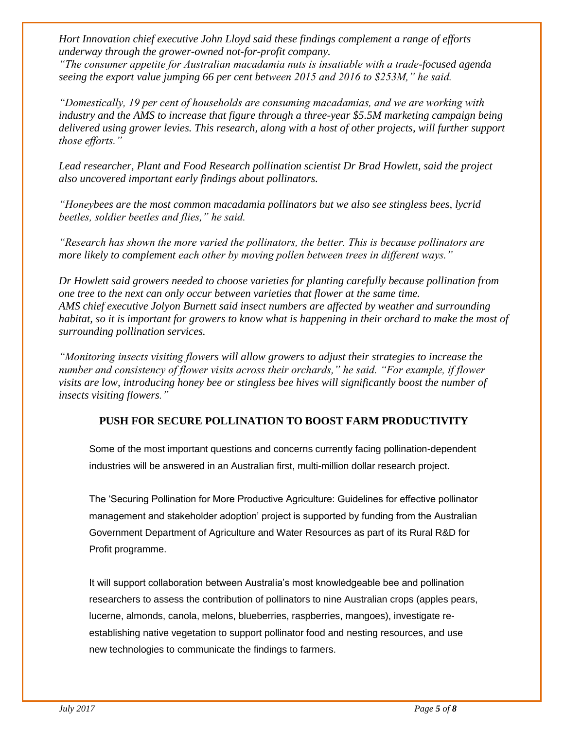*Hort Innovation chief executive John Lloyd said these findings complement a range of efforts underway through the grower-owned not-for-profit company.*

*"The consumer appetite for Australian macadamia nuts is insatiable with a trade-focused agenda seeing the export value jumping 66 per cent between 2015 and 2016 to \$253M," he said.*

*"Domestically, 19 per cent of households are consuming macadamias, and we are working with industry and the AMS to increase that figure through a three-year \$5.5M marketing campaign being delivered using grower levies. This research, along with a host of other projects, will further support those efforts."*

*Lead researcher, Plant and Food Research pollination scientist Dr Brad Howlett, said the project also uncovered important early findings about pollinators.*

*"Honeybees are the most common macadamia pollinators but we also see stingless bees, lycrid beetles, soldier beetles and flies," he said.*

*"Research has shown the more varied the pollinators, the better. This is because pollinators are more likely to complement each other by moving pollen between trees in different ways."*

*Dr Howlett said growers needed to choose varieties for planting carefully because pollination from one tree to the next can only occur between varieties that flower at the same time. AMS chief executive Jolyon Burnett said insect numbers are affected by weather and surrounding habitat, so it is important for growers to know what is happening in their orchard to make the most of surrounding pollination services.*

*"Monitoring insects visiting flowers will allow growers to adjust their strategies to increase the number and consistency of flower visits across their orchards," he said. "For example, if flower visits are low, introducing honey bee or stingless bee hives will significantly boost the number of insects visiting flowers."*

#### **PUSH FOR SECURE POLLINATION TO BOOST FARM PRODUCTIVITY**

Some of the most important questions and concerns currently facing pollination-dependent industries will be answered in an Australian first, multi-million dollar research project.

The 'Securing Pollination for More Productive Agriculture: Guidelines for effective pollinator management and stakeholder adoption' project is supported by funding from the Australian Government Department of Agriculture and Water Resources as part of its Rural R&D for Profit programme.

It will support collaboration between Australia's most knowledgeable bee and pollination researchers to assess the contribution of pollinators to nine Australian crops (apples pears, lucerne, almonds, canola, melons, blueberries, raspberries, mangoes), investigate reestablishing native vegetation to support pollinator food and nesting resources, and use new technologies to communicate the findings to farmers.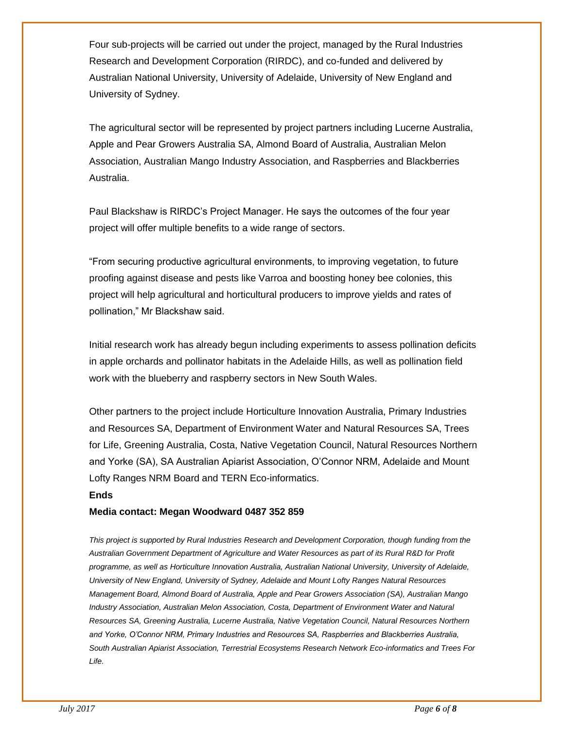Four sub-projects will be carried out under the project, managed by the Rural Industries Research and Development Corporation (RIRDC), and co-funded and delivered by Australian National University, University of Adelaide, University of New England and University of Sydney.

The agricultural sector will be represented by project partners including Lucerne Australia, Apple and Pear Growers Australia SA, Almond Board of Australia, Australian Melon Association, Australian Mango Industry Association, and Raspberries and Blackberries Australia.

Paul Blackshaw is RIRDC's Project Manager. He says the outcomes of the four year project will offer multiple benefits to a wide range of sectors.

"From securing productive agricultural environments, to improving vegetation, to future proofing against disease and pests like Varroa and boosting honey bee colonies, this project will help agricultural and horticultural producers to improve yields and rates of pollination," Mr Blackshaw said.

Initial research work has already begun including experiments to assess pollination deficits in apple orchards and pollinator habitats in the Adelaide Hills, as well as pollination field work with the blueberry and raspberry sectors in New South Wales.

Other partners to the project include Horticulture Innovation Australia, Primary Industries and Resources SA, Department of Environment Water and Natural Resources SA, Trees for Life, Greening Australia, Costa, Native Vegetation Council, Natural Resources Northern and Yorke (SA), SA Australian Apiarist Association, O'Connor NRM, Adelaide and Mount Lofty Ranges NRM Board and TERN Eco-informatics.

#### **Ends**

#### **Media contact: Megan Woodward 0487 352 859**

*This project is supported by Rural Industries Research and Development Corporation, though funding from the Australian Government Department of Agriculture and Water Resources as part of its Rural R&D for Profit programme, as well as Horticulture Innovation Australia, Australian National University, University of Adelaide, University of New England, University of Sydney, Adelaide and Mount Lofty Ranges Natural Resources Management Board, Almond Board of Australia, Apple and Pear Growers Association (SA), Australian Mango Industry Association, Australian Melon Association, Costa, Department of Environment Water and Natural Resources SA, Greening Australia, Lucerne Australia, Native Vegetation Council, Natural Resources Northern and Yorke, O'Connor NRM, Primary Industries and Resources SA, Raspberries and Blackberries Australia, South Australian Apiarist Association, Terrestrial Ecosystems Research Network Eco-informatics and Trees For Life.*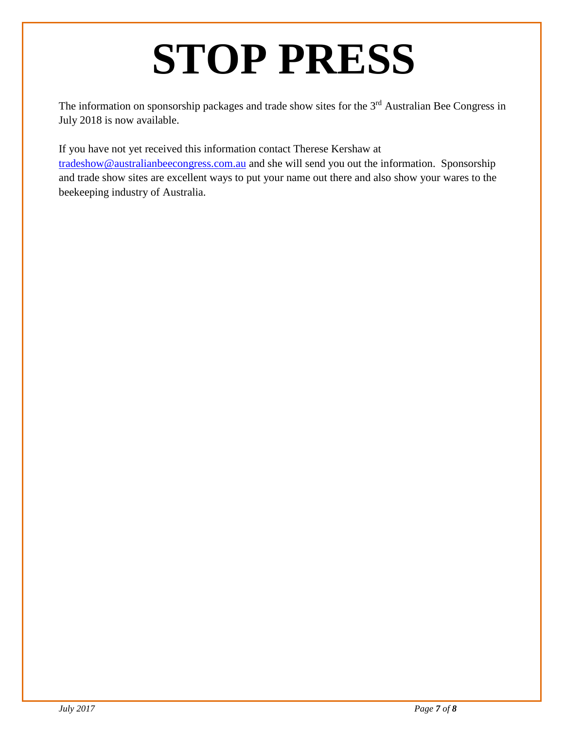### **STOP PRESS**

The information on sponsorship packages and trade show sites for the 3<sup>rd</sup> Australian Bee Congress in July 2018 is now available.

If you have not yet received this information contact Therese Kershaw at [tradeshow@australianbeecongress.com.au](mailto:tradeshow@australianbeecongress.com.au) and she will send you out the information. Sponsorship and trade show sites are excellent ways to put your name out there and also show your wares to the beekeeping industry of Australia.